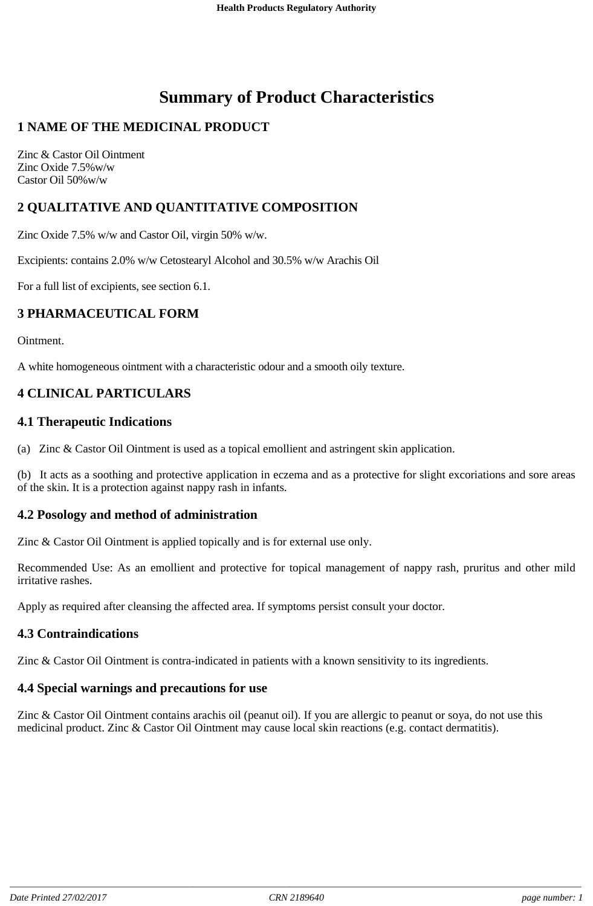# **Summary of Product Characteristics**

# **1 NAME OF THE MEDICINAL PRODUCT**

Zinc & Castor Oil Ointment Zinc Oxide 7.5%w/w Castor Oil 50%w/w

# **2 QUALITATIVE AND QUANTITATIVE COMPOSITION**

Zinc Oxide 7.5% w/w and Castor Oil, virgin 50% w/w.

Excipients: contains 2.0% w/w Cetostearyl Alcohol and 30.5% w/w Arachis Oil

For a full list of excipients, see section 6.1.

# **3 PHARMACEUTICAL FORM**

Ointment.

A white homogeneous ointment with a characteristic odour and a smooth oily texture.

# **4 CLINICAL PARTICULARS**

### **4.1 Therapeutic Indications**

(a) Zinc & Castor Oil Ointment is used as a topical emollient and astringent skin application.

(b) It acts as a soothing and protective application in eczema and as a protective for slight excoriations and sore areas of the skin. It is a protection against nappy rash in infants.

### **4.2 Posology and method of administration**

Zinc & Castor Oil Ointment is applied topically and is for external use only.

Recommended Use: As an emollient and protective for topical management of nappy rash, pruritus and other mild irritative rashes.

Apply as required after cleansing the affected area. If symptoms persist consult your doctor.

# **4.3 Contraindications**

Zinc & Castor Oil Ointment is contra-indicated in patients with a known sensitivity to its ingredients.

### **4.4 Special warnings and precautions for use**

Zinc & Castor Oil Ointment contains arachis oil (peanut oil). If you are allergic to peanut or soya, do not use this medicinal product. Zinc & Castor Oil Ointment may cause local skin reactions (e.g. contact dermatitis).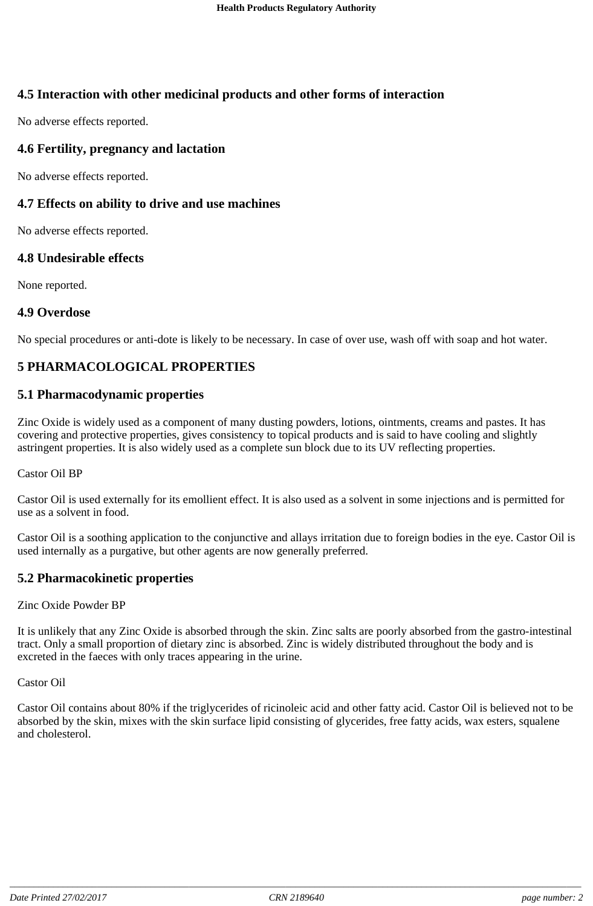# **4.5 Interaction with other medicinal products and other forms of interaction**

No adverse effects reported.

### **4.6 Fertility, pregnancy and lactation**

No adverse effects reported.

### **4.7 Effects on ability to drive and use machines**

No adverse effects reported.

#### **4.8 Undesirable effects**

None reported.

#### **4.9 Overdose**

No special procedures or anti-dote is likely to be necessary. In case of over use, wash off with soap and hot water.

# **5 PHARMACOLOGICAL PROPERTIES**

#### **5.1 Pharmacodynamic properties**

Zinc Oxide is widely used as a component of many dusting powders, lotions, ointments, creams and pastes. It has covering and protective properties, gives consistency to topical products and is said to have cooling and slightly astringent properties. It is also widely used as a complete sun block due to its UV reflecting properties.

#### Castor Oil BP

Castor Oil is used externally for its emollient effect. It is also used as a solvent in some injections and is permitted for use as a solvent in food.

Castor Oil is a soothing application to the conjunctive and allays irritation due to foreign bodies in the eye. Castor Oil is used internally as a purgative, but other agents are now generally preferred.

### **5.2 Pharmacokinetic properties**

Zinc Oxide Powder BP

It is unlikely that any Zinc Oxide is absorbed through the skin. Zinc salts are poorly absorbed from the gastro-intestinal tract. Only a small proportion of dietary zinc is absorbed. Zinc is widely distributed throughout the body and is excreted in the faeces with only traces appearing in the urine.

Castor Oil

Castor Oil contains about 80% if the triglycerides of ricinoleic acid and other fatty acid. Castor Oil is believed not to be absorbed by the skin, mixes with the skin surface lipid consisting of glycerides, free fatty acids, wax esters, squalene and cholesterol.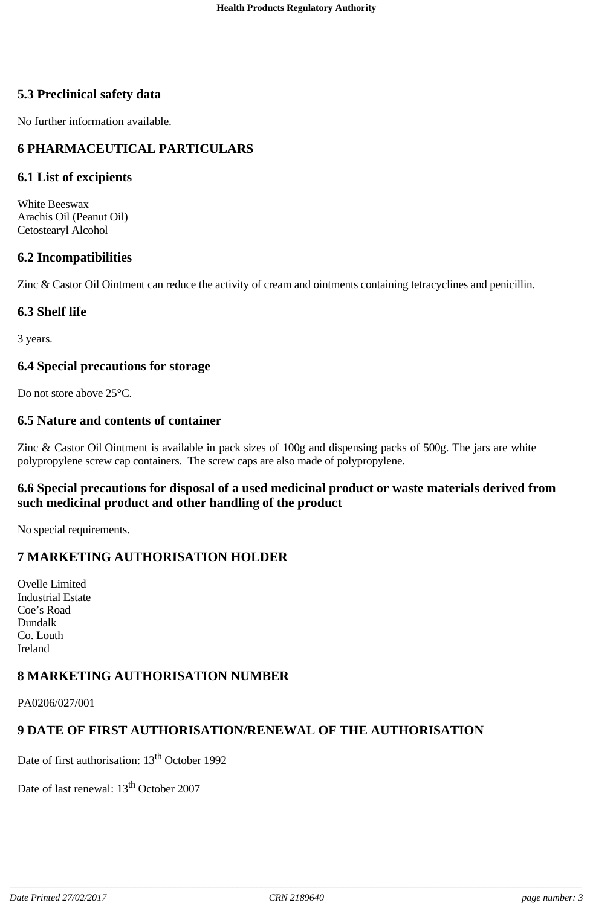# **5.3 Preclinical safety data**

No further information available.

# **6 PHARMACEUTICAL PARTICULARS**

### **6.1 List of excipients**

White Beeswax Arachis Oil (Peanut Oil) Cetostearyl Alcohol

### **6.2 Incompatibilities**

Zinc & Castor Oil Ointment can reduce the activity of cream and ointments containing tetracyclines and penicillin.

### **6.3 Shelf life**

3 years.

### **6.4 Special precautions for storage**

Do not store above 25°C.

### **6.5 Nature and contents of container**

Zinc & Castor Oil Ointment is available in pack sizes of 100g and dispensing packs of 500g. The jars are white polypropylene screw cap containers. The screw caps are also made of polypropylene.

### **6.6 Special precautions for disposal of a used medicinal product or waste materials derived from such medicinal product and other handling of the product**

No special requirements.

# **7 MARKETING AUTHORISATION HOLDER**

Ovelle Limited Industrial Estate Coe's Road Dundalk Co. Louth Ireland

# **8 MARKETING AUTHORISATION NUMBER**

PA0206/027/001

# **9 DATE OF FIRST AUTHORISATION/RENEWAL OF THE AUTHORISATION**

Date of first authorisation: 13<sup>th</sup> October 1992

Date of last renewal:  $13<sup>th</sup>$  October 2007